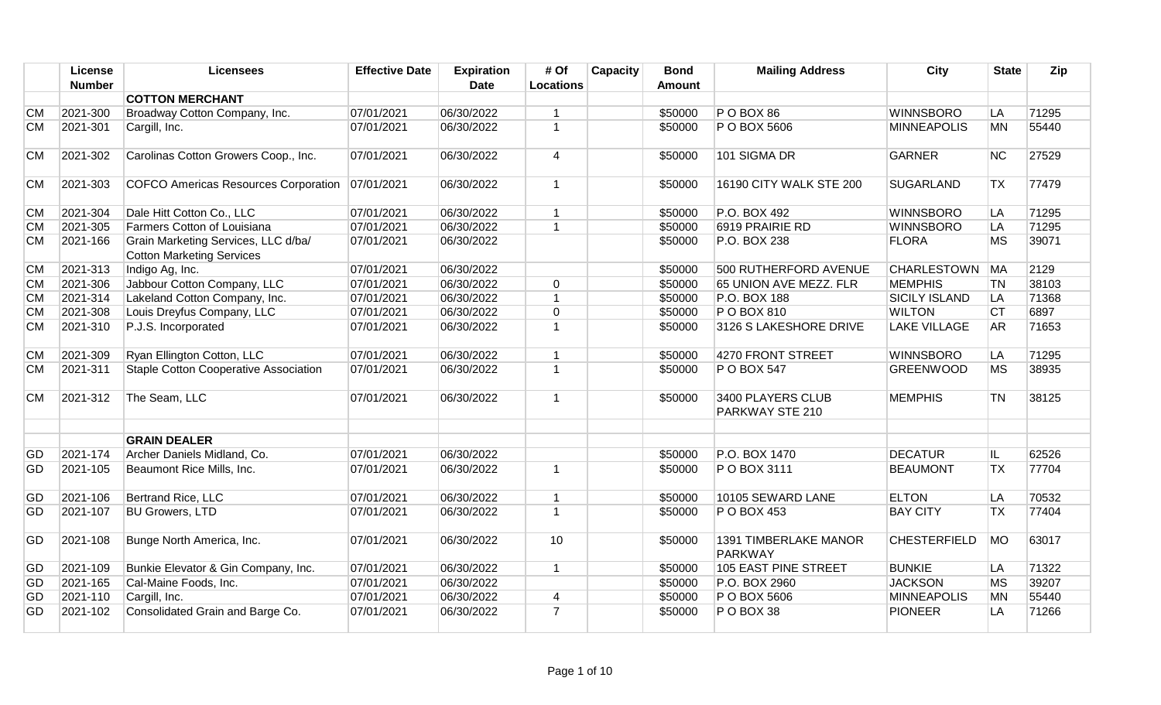|           | <b>License</b> | <b>Licensees</b>                                                        | <b>Effective Date</b> | <b>Expiration</b> | # Of                    | Capacity | <b>Bond</b> | <b>Mailing Address</b>               | City                 | <b>State</b> | Zip   |
|-----------|----------------|-------------------------------------------------------------------------|-----------------------|-------------------|-------------------------|----------|-------------|--------------------------------------|----------------------|--------------|-------|
|           | <b>Number</b>  |                                                                         |                       | <b>Date</b>       | <b>Locations</b>        |          | Amount      |                                      |                      |              |       |
|           |                | <b>COTTON MERCHANT</b>                                                  |                       |                   |                         |          |             |                                      |                      |              |       |
| <b>CM</b> | 2021-300       | Broadway Cotton Company, Inc.                                           | 07/01/2021            | 06/30/2022        | $\overline{1}$          |          | \$50000     | <b>P O BOX 86</b>                    | <b>WINNSBORO</b>     | LA           | 71295 |
| <b>CM</b> | 2021-301       | Cargill, Inc.                                                           | 07/01/2021            | 06/30/2022        | $\overline{1}$          |          | \$50000     | P O BOX 5606                         | <b>MINNEAPOLIS</b>   | <b>MN</b>    | 55440 |
| <b>CM</b> | 2021-302       | Carolinas Cotton Growers Coop., Inc.                                    | 07/01/2021            | 06/30/2022        | $\overline{4}$          |          | \$50000     | 101 SIGMA DR                         | <b>GARNER</b>        | <b>NC</b>    | 27529 |
| <b>CM</b> | 2021-303       | COFCO Americas Resources Corporation                                    | 07/01/2021            | 06/30/2022        | $\mathbf{1}$            |          | \$50000     | 16190 CITY WALK STE 200              | <b>SUGARLAND</b>     | <b>TX</b>    | 77479 |
| <b>CM</b> | 2021-304       | Dale Hitt Cotton Co., LLC                                               | 07/01/2021            | 06/30/2022        | $\mathbf{1}$            |          | \$50000     | P.O. BOX 492                         | <b>WINNSBORO</b>     | LA           | 71295 |
| <b>CM</b> | 2021-305       | Farmers Cotton of Louisiana                                             | 07/01/2021            | 06/30/2022        | $\mathbf{1}$            |          | \$50000     | 6919 PRAIRIE RD                      | <b>WINNSBORO</b>     | LA           | 71295 |
| <b>CM</b> | 2021-166       | Grain Marketing Services, LLC d/ba/<br><b>Cotton Marketing Services</b> | 07/01/2021            | 06/30/2022        |                         |          | \$50000     | P.O. BOX 238                         | <b>FLORA</b>         | <b>MS</b>    | 39071 |
| <b>CM</b> | 2021-313       | Indigo Ag, Inc.                                                         | 07/01/2021            | 06/30/2022        |                         |          | \$50000     | 500 RUTHERFORD AVENUE                | CHARLESTOWN MA       |              | 2129  |
| <b>CM</b> | 2021-306       | Jabbour Cotton Company, LLC                                             | 07/01/2021            | 06/30/2022        | $\mathbf 0$             |          | \$50000     | 65 UNION AVE MEZZ. FLR               | <b>MEMPHIS</b>       | <b>TN</b>    | 38103 |
| <b>CM</b> | 2021-314       | Lakeland Cotton Company, Inc.                                           | 07/01/2021            | 06/30/2022        | $\mathbf{1}$            |          | \$50000     | P.O. BOX 188                         | <b>SICILY ISLAND</b> | LA           | 71368 |
| <b>CM</b> | 2021-308       | Louis Dreyfus Company, LLC                                              | 07/01/2021            | 06/30/2022        | $\mathbf 0$             |          | \$50000     | P O BOX 810                          | <b>WILTON</b>        | <b>CT</b>    | 6897  |
| <b>CM</b> | 2021-310       | P.J.S. Incorporated                                                     | 07/01/2021            | 06/30/2022        | $\overline{1}$          |          | \$50000     | 3126 S LAKESHORE DRIVE               | <b>LAKE VILLAGE</b>  | AR           | 71653 |
| <b>CM</b> | 2021-309       | Ryan Ellington Cotton, LLC                                              | 07/01/2021            | 06/30/2022        | $\mathbf{1}$            |          | \$50000     | 4270 FRONT STREET                    | <b>WINNSBORO</b>     | LA           | 71295 |
| <b>CM</b> | 2021-311       | Staple Cotton Cooperative Association                                   | 07/01/2021            | 06/30/2022        | $\mathbf{1}$            |          | \$50000     | P O BOX 547                          | <b>GREENWOOD</b>     | <b>MS</b>    | 38935 |
| <b>CM</b> | 2021-312       | The Seam, LLC                                                           | 07/01/2021            | 06/30/2022        | $\mathbf{1}$            |          | \$50000     | 3400 PLAYERS CLUB<br>PARKWAY STE 210 | <b>MEMPHIS</b>       | <b>TN</b>    | 38125 |
|           |                | <b>GRAIN DEALER</b>                                                     |                       |                   |                         |          |             |                                      |                      |              |       |
| GD        | 2021-174       | Archer Daniels Midland, Co.                                             | 07/01/2021            | 06/30/2022        |                         |          | \$50000     | P.O. BOX 1470                        | <b>DECATUR</b>       | IL.          | 62526 |
| GD        | 2021-105       | Beaumont Rice Mills, Inc.                                               | 07/01/2021            | 06/30/2022        | $\overline{1}$          |          | \$50000     | P O BOX 3111                         | <b>BEAUMONT</b>      | <b>TX</b>    | 77704 |
| GD        | 2021-106       | Bertrand Rice, LLC                                                      | 07/01/2021            | 06/30/2022        | $\mathbf{1}$            |          | \$50000     | 10105 SEWARD LANE                    | <b>ELTON</b>         | LA           | 70532 |
| GD        | 2021-107       | <b>BU Growers, LTD</b>                                                  | 07/01/2021            | 06/30/2022        | $\overline{1}$          |          | \$50000     | P O BOX 453                          | <b>BAY CITY</b>      | <b>TX</b>    | 77404 |
| GD        | 2021-108       | Bunge North America, Inc.                                               | 07/01/2021            | 06/30/2022        | 10                      |          | \$50000     | 1391 TIMBERLAKE MANOR<br>PARKWAY     | <b>CHESTERFIELD</b>  | <b>MO</b>    | 63017 |
| GD        | 2021-109       | Bunkie Elevator & Gin Company, Inc.                                     | 07/01/2021            | 06/30/2022        | $\mathbf{1}$            |          | \$50000     | 105 EAST PINE STREET                 | <b>BUNKIE</b>        | LA           | 71322 |
| GD        | 2021-165       | Cal-Maine Foods, Inc.                                                   | 07/01/2021            | 06/30/2022        |                         |          | \$50000     | P.O. BOX 2960                        | <b>JACKSON</b>       | MS           | 39207 |
| GD        | 2021-110       | Cargill, Inc.                                                           | 07/01/2021            | 06/30/2022        | $\overline{\mathbf{4}}$ |          | \$50000     | P O BOX 5606                         | <b>MINNEAPOLIS</b>   | <b>MN</b>    | 55440 |
| GD        | 2021-102       | Consolidated Grain and Barge Co.                                        | 07/01/2021            | 06/30/2022        | $\overline{7}$          |          | \$50000     | P O BOX 38                           | <b>PIONEER</b>       | LA           | 71266 |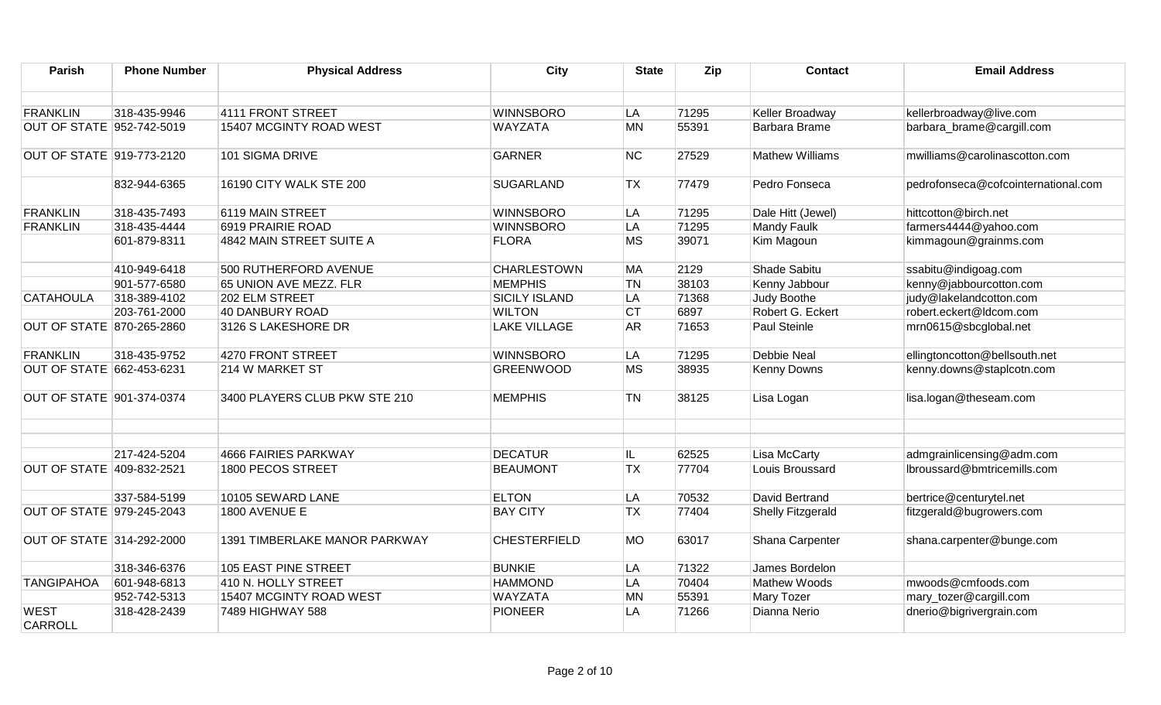| Parish                           | <b>Phone Number</b> | <b>Physical Address</b>       | <b>City</b>          | <b>State</b>   | Zip   | <b>Contact</b>         | <b>Email Address</b>                |
|----------------------------------|---------------------|-------------------------------|----------------------|----------------|-------|------------------------|-------------------------------------|
| <b>FRANKLIN</b>                  | 318-435-9946        | 4111 FRONT STREET             | <b>WINNSBORO</b>     | LA             | 71295 | Keller Broadway        | kellerbroadway@live.com             |
| OUT OF STATE 952-742-5019        |                     | 15407 MCGINTY ROAD WEST       | <b>WAYZATA</b>       | <b>MN</b>      | 55391 | Barbara Brame          | barbara_brame@cargill.com           |
|                                  |                     |                               |                      |                |       |                        |                                     |
| <b>OUT OF STATE 919-773-2120</b> |                     | 101 SIGMA DRIVE               | <b>GARNER</b>        | <b>NC</b>      | 27529 | <b>Mathew Williams</b> | mwilliams@carolinascotton.com       |
|                                  | 832-944-6365        | 16190 CITY WALK STE 200       | <b>SUGARLAND</b>     | <b>TX</b>      | 77479 | Pedro Fonseca          | pedrofonseca@cofcointernational.com |
| <b>FRANKLIN</b>                  | 318-435-7493        | 6119 MAIN STREET              | <b>WINNSBORO</b>     | LA             | 71295 | Dale Hitt (Jewel)      | hittcotton@birch.net                |
| <b>FRANKLIN</b>                  | 318-435-4444        | 6919 PRAIRIE ROAD             | <b>WINNSBORO</b>     | LA             | 71295 | <b>Mandy Faulk</b>     | farmers4444@yahoo.com               |
|                                  | 601-879-8311        | 4842 MAIN STREET SUITE A      | <b>FLORA</b>         | <b>MS</b>      | 39071 | Kim Magoun             | kimmagoun@grainms.com               |
|                                  | 410-949-6418        | 500 RUTHERFORD AVENUE         | <b>CHARLESTOWN</b>   | MA             | 2129  | Shade Sabitu           | ssabitu@indigoag.com                |
|                                  | 901-577-6580        | 65 UNION AVE MEZZ. FLR        | <b>MEMPHIS</b>       | <b>TN</b>      | 38103 | Kenny Jabbour          | kenny@jabbourcotton.com             |
| <b>CATAHOULA</b>                 | 318-389-4102        | 202 ELM STREET                | <b>SICILY ISLAND</b> | LA             | 71368 | Judy Boothe            | judy@lakelandcotton.com             |
|                                  | 203-761-2000        | 40 DANBURY ROAD               | <b>WILTON</b>        | <b>CT</b>      | 6897  | Robert G. Eckert       | robert.eckert@ldcom.com             |
| OUT OF STATE 870-265-2860        |                     | 3126 S LAKESHORE DR           | <b>LAKE VILLAGE</b>  | AR <sup></sup> | 71653 | Paul Steinle           | mrn0615@sbcglobal.net               |
| <b>FRANKLIN</b>                  | 318-435-9752        | 4270 FRONT STREET             | <b>WINNSBORO</b>     | LA             | 71295 | <b>Debbie Neal</b>     | ellingtoncotton@bellsouth.net       |
| OUT OF STATE 662-453-6231        |                     | 214 W MARKET ST               | <b>GREENWOOD</b>     | <b>MS</b>      | 38935 | Kenny Downs            | kenny.downs@staplcotn.com           |
| OUT OF STATE 901-374-0374        |                     | 3400 PLAYERS CLUB PKW STE 210 | <b>MEMPHIS</b>       | <b>TN</b>      | 38125 | Lisa Logan             | lisa.logan@theseam.com              |
|                                  |                     |                               |                      |                |       |                        |                                     |
|                                  | 217-424-5204        | 4666 FAIRIES PARKWAY          | <b>DECATUR</b>       | IL.            | 62525 | <b>Lisa McCarty</b>    | admgrainlicensing@adm.com           |
| OUT OF STATE 409-832-2521        |                     | 1800 PECOS STREET             | <b>BEAUMONT</b>      | <b>TX</b>      | 77704 | Louis Broussard        | lbroussard@bmtricemills.com         |
|                                  | 337-584-5199        | 10105 SEWARD LANE             | <b>ELTON</b>         | LA             | 70532 | David Bertrand         | bertrice@centurytel.net             |
| OUT OF STATE 979-245-2043        |                     | 1800 AVENUE E                 | <b>BAY CITY</b>      | TX             | 77404 | Shelly Fitzgerald      | fitzgerald@bugrowers.com            |
| OUT OF STATE 314-292-2000        |                     | 1391 TIMBERLAKE MANOR PARKWAY | <b>CHESTERFIELD</b>  | <b>MO</b>      | 63017 | Shana Carpenter        | shana.carpenter@bunge.com           |
|                                  | 318-346-6376        | 105 EAST PINE STREET          | <b>BUNKIE</b>        | LA             | 71322 | James Bordelon         |                                     |
| <b>TANGIPAHOA</b>                | 601-948-6813        | 410 N. HOLLY STREET           | <b>HAMMOND</b>       | LA             | 70404 | Mathew Woods           | mwoods@cmfoods.com                  |
|                                  | 952-742-5313        | 15407 MCGINTY ROAD WEST       | <b>WAYZATA</b>       | <b>MN</b>      | 55391 | Mary Tozer             | mary_tozer@cargill.com              |
| <b>WEST</b><br><b>CARROLL</b>    | 318-428-2439        | 7489 HIGHWAY 588              | <b>PIONEER</b>       | LA             | 71266 | Dianna Nerio           | dnerio@bigrivergrain.com            |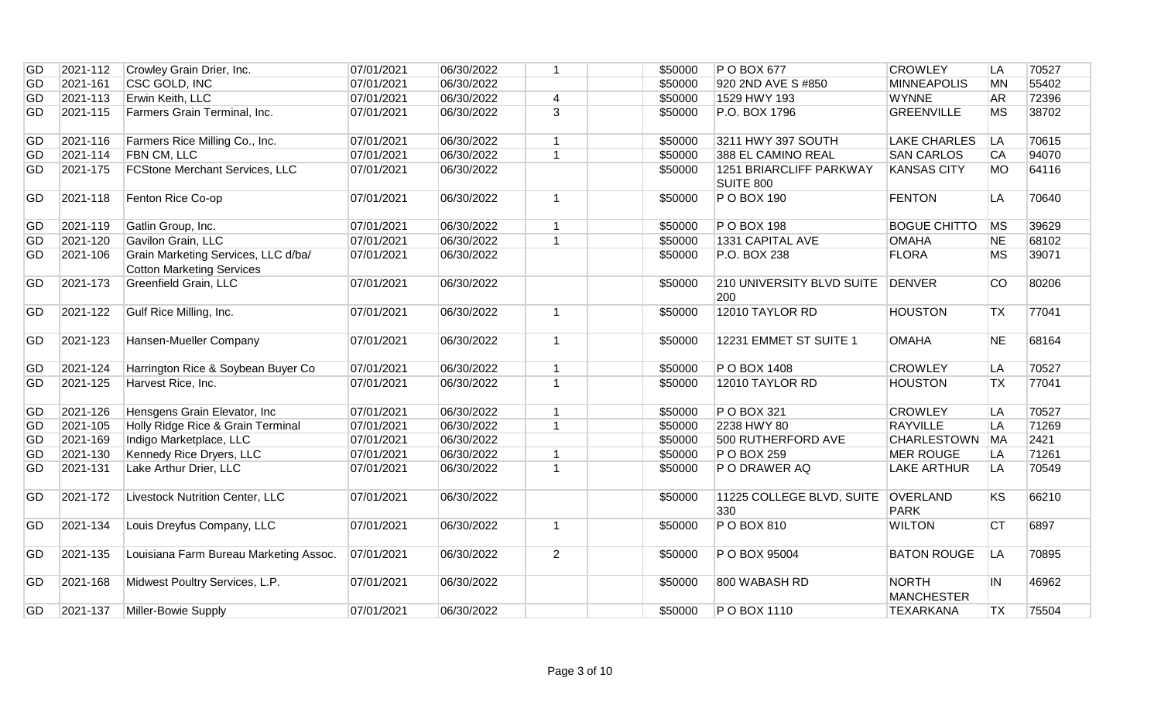| GD | 2021-112 | Crowley Grain Drier, Inc.                                               | 07/01/2021 | 06/30/2022 | $\overline{1}$ | \$50000 | P O BOX 677                                 | <b>CROWLEY</b>                    | LA        | 70527 |
|----|----------|-------------------------------------------------------------------------|------------|------------|----------------|---------|---------------------------------------------|-----------------------------------|-----------|-------|
| GD | 2021-161 | CSC GOLD, INC                                                           | 07/01/2021 | 06/30/2022 |                | \$50000 | 920 2ND AVE S #850                          | <b>MINNEAPOLIS</b>                | <b>MN</b> | 55402 |
| GD | 2021-113 | Erwin Keith, LLC                                                        | 07/01/2021 | 06/30/2022 | $\overline{4}$ | \$50000 | 1529 HWY 193                                | <b>WYNNE</b>                      | AR        | 72396 |
| GD | 2021-115 | Farmers Grain Terminal, Inc.                                            | 07/01/2021 | 06/30/2022 | $\overline{3}$ | \$50000 | P.O. BOX 1796                               | <b>GREENVILLE</b>                 | <b>MS</b> | 38702 |
| GD | 2021-116 | Farmers Rice Milling Co., Inc.                                          | 07/01/2021 | 06/30/2022 | $\mathbf{1}$   | \$50000 | 3211 HWY 397 SOUTH                          | <b>LAKE CHARLES</b>               | LA        | 70615 |
| GD | 2021-114 | FBN CM, LLC                                                             | 07/01/2021 | 06/30/2022 | $\overline{1}$ | \$50000 | 388 EL CAMINO REAL                          | <b>SAN CARLOS</b>                 | CA        | 94070 |
| GD | 2021-175 | <b>FCStone Merchant Services, LLC</b>                                   | 07/01/2021 | 06/30/2022 |                | \$50000 | 1251 BRIARCLIFF PARKWAY<br><b>SUITE 800</b> | <b>KANSAS CITY</b>                | <b>MO</b> | 64116 |
| GD | 2021-118 | Fenton Rice Co-op                                                       | 07/01/2021 | 06/30/2022 | $\mathbf{1}$   | \$50000 | P O BOX 190                                 | <b>FENTON</b>                     | LA        | 70640 |
| GD | 2021-119 | Gatlin Group, Inc.                                                      | 07/01/2021 | 06/30/2022 | $\mathbf{1}$   | \$50000 | P O BOX 198                                 | <b>BOGUE CHITTO</b>               | MS        | 39629 |
| GD | 2021-120 | Gavilon Grain, LLC                                                      | 07/01/2021 | 06/30/2022 | $\mathbf{1}$   | \$50000 | 1331 CAPITAL AVE                            | <b>OMAHA</b>                      | <b>NE</b> | 68102 |
| GD | 2021-106 | Grain Marketing Services, LLC d/ba/<br><b>Cotton Marketing Services</b> | 07/01/2021 | 06/30/2022 |                | \$50000 | P.O. BOX 238                                | <b>FLORA</b>                      | <b>MS</b> | 39071 |
| GD | 2021-173 | <b>Greenfield Grain, LLC</b>                                            | 07/01/2021 | 06/30/2022 |                | \$50000 | 210 UNIVERSITY BLVD SUITE<br>200            | DENVER                            | <b>CO</b> | 80206 |
| GD | 2021-122 | Gulf Rice Milling, Inc.                                                 | 07/01/2021 | 06/30/2022 | $\mathbf{1}$   | \$50000 | 12010 TAYLOR RD                             | <b>HOUSTON</b>                    | <b>TX</b> | 77041 |
| GD | 2021-123 | Hansen-Mueller Company                                                  | 07/01/2021 | 06/30/2022 | $\mathbf{1}$   | \$50000 | 12231 EMMET ST SUITE 1                      | <b>OMAHA</b>                      | <b>NE</b> | 68164 |
| GD | 2021-124 | Harrington Rice & Soybean Buyer Co                                      | 07/01/2021 | 06/30/2022 | $\mathbf{1}$   | \$50000 | P O BOX 1408                                | <b>CROWLEY</b>                    | LA        | 70527 |
| GD | 2021-125 | Harvest Rice, Inc.                                                      | 07/01/2021 | 06/30/2022 | $\overline{1}$ | \$50000 | 12010 TAYLOR RD                             | <b>HOUSTON</b>                    | <b>TX</b> | 77041 |
| GD | 2021-126 | Hensgens Grain Elevator, Inc.                                           | 07/01/2021 | 06/30/2022 | $\mathbf{1}$   | \$50000 | P O BOX 321                                 | <b>CROWLEY</b>                    | LA        | 70527 |
| GD | 2021-105 | Holly Ridge Rice & Grain Terminal                                       | 07/01/2021 | 06/30/2022 | $\overline{1}$ | \$50000 | 2238 HWY 80                                 | <b>RAYVILLE</b>                   | LA        | 71269 |
| GD | 2021-169 | Indigo Marketplace, LLC                                                 | 07/01/2021 | 06/30/2022 |                | \$50000 | 500 RUTHERFORD AVE                          | CHARLESTOWN MA                    |           | 2421  |
| GD | 2021-130 | Kennedy Rice Dryers, LLC                                                | 07/01/2021 | 06/30/2022 | $\mathbf{1}$   | \$50000 | P O BOX 259                                 | <b>MER ROUGE</b>                  | LA        | 71261 |
| GD | 2021-131 | Lake Arthur Drier, LLC                                                  | 07/01/2021 | 06/30/2022 | $\mathbf{1}$   | \$50000 | P O DRAWER AQ                               | <b>LAKE ARTHUR</b>                | LA        | 70549 |
| GD | 2021-172 | <b>Livestock Nutrition Center, LLC</b>                                  | 07/01/2021 | 06/30/2022 |                | \$50000 | 11225 COLLEGE BLVD, SUITE OVERLAND<br>330   | <b>PARK</b>                       | KS        | 66210 |
| GD | 2021-134 | Louis Dreyfus Company, LLC                                              | 07/01/2021 | 06/30/2022 | $\mathbf{1}$   | \$50000 | P O BOX 810                                 | <b>WILTON</b>                     | <b>CT</b> | 6897  |
| GD | 2021-135 | Louisiana Farm Bureau Marketing Assoc.                                  | 07/01/2021 | 06/30/2022 | $\overline{2}$ | \$50000 | P O BOX 95004                               | <b>BATON ROUGE</b>                | <b>LA</b> | 70895 |
| GD |          |                                                                         |            |            |                |         |                                             |                                   |           |       |
|    | 2021-168 | Midwest Poultry Services, L.P.                                          | 07/01/2021 | 06/30/2022 |                | \$50000 | 800 WABASH RD                               | <b>NORTH</b><br><b>MANCHESTER</b> | IN.       | 46962 |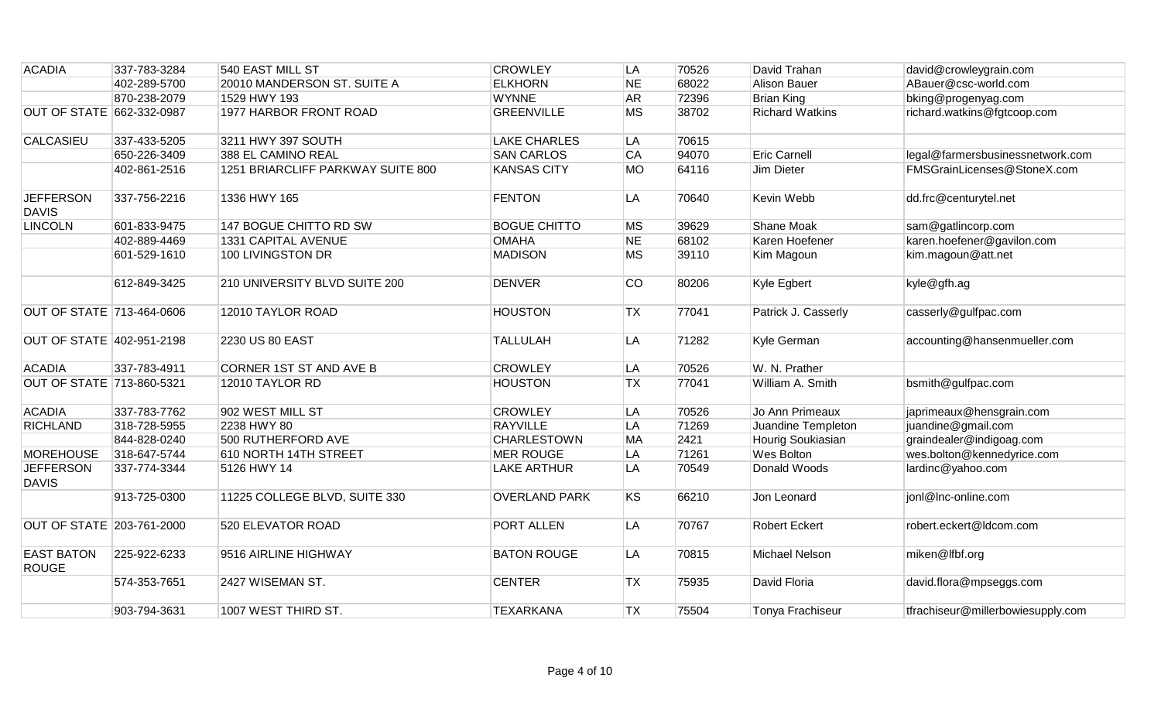| <b>ACADIA</b>                     | 337-783-3284 | 540 EAST MILL ST                  | <b>CROWLEY</b>       | LA        | 70526 | David Trahan           | david@crowleygrain.com            |
|-----------------------------------|--------------|-----------------------------------|----------------------|-----------|-------|------------------------|-----------------------------------|
|                                   | 402-289-5700 | 20010 MANDERSON ST. SUITE A       | <b>ELKHORN</b>       | <b>NE</b> | 68022 | Alison Bauer           | ABauer@csc-world.com              |
|                                   | 870-238-2079 | 1529 HWY 193                      | <b>WYNNE</b>         | <b>AR</b> | 72396 | <b>Brian King</b>      | bking@progenyag.com               |
| OUT OF STATE 662-332-0987         |              | 1977 HARBOR FRONT ROAD            | <b>GREENVILLE</b>    | <b>MS</b> | 38702 | <b>Richard Watkins</b> | richard.watkins@fgtcoop.com       |
| <b>CALCASIEU</b>                  | 337-433-5205 | 3211 HWY 397 SOUTH                | <b>LAKE CHARLES</b>  | LA        | 70615 |                        |                                   |
|                                   | 650-226-3409 | 388 EL CAMINO REAL                | <b>SAN CARLOS</b>    | <b>CA</b> | 94070 | <b>Eric Carnell</b>    | legal@farmersbusinessnetwork.com  |
|                                   | 402-861-2516 | 1251 BRIARCLIFF PARKWAY SUITE 800 | <b>KANSAS CITY</b>   | <b>MO</b> | 64116 | Jim Dieter             | FMSGrainLicenses@StoneX.com       |
| <b>JEFFERSON</b><br><b>DAVIS</b>  | 337-756-2216 | 1336 HWY 165                      | <b>FENTON</b>        | LA        | 70640 | Kevin Webb             | dd.frc@centurytel.net             |
| <b>LINCOLN</b>                    | 601-833-9475 | 147 BOGUE CHITTO RD SW            | <b>BOGUE CHITTO</b>  | <b>MS</b> | 39629 | Shane Moak             | sam@gatlincorp.com                |
|                                   | 402-889-4469 | 1331 CAPITAL AVENUE               | <b>OMAHA</b>         | <b>NE</b> | 68102 | Karen Hoefener         | karen.hoefener@gavilon.com        |
|                                   | 601-529-1610 | 100 LIVINGSTON DR                 | <b>MADISON</b>       | <b>MS</b> | 39110 | Kim Magoun             | kim.magoun@att.net                |
|                                   | 612-849-3425 | 210 UNIVERSITY BLVD SUITE 200     | <b>DENVER</b>        | CO        | 80206 | Kyle Egbert            | kyle@gfh.ag                       |
| OUT OF STATE 713-464-0606         |              | 12010 TAYLOR ROAD                 | <b>HOUSTON</b>       | <b>TX</b> | 77041 | Patrick J. Casserly    | casserly@gulfpac.com              |
| OUT OF STATE 402-951-2198         |              | 2230 US 80 EAST                   | <b>TALLULAH</b>      | LA        | 71282 | Kyle German            | accounting@hansenmueller.com      |
| <b>ACADIA</b>                     | 337-783-4911 | CORNER 1ST ST AND AVE B           | <b>CROWLEY</b>       | LA        | 70526 | W. N. Prather          |                                   |
| OUT OF STATE 713-860-5321         |              | 12010 TAYLOR RD                   | <b>HOUSTON</b>       | <b>TX</b> | 77041 | William A. Smith       | bsmith@gulfpac.com                |
| <b>ACADIA</b>                     | 337-783-7762 | 902 WEST MILL ST                  | <b>CROWLEY</b>       | LA        | 70526 | Jo Ann Primeaux        | japrimeaux@hensgrain.com          |
| <b>RICHLAND</b>                   | 318-728-5955 | 2238 HWY 80                       | <b>RAYVILLE</b>      | LA        | 71269 | Juandine Templeton     | juandine@gmail.com                |
|                                   | 844-828-0240 | 500 RUTHERFORD AVE                | <b>CHARLESTOWN</b>   | <b>MA</b> | 2421  | Hourig Soukiasian      | graindealer@indigoag.com          |
| <b>MOREHOUSE</b>                  | 318-647-5744 | 610 NORTH 14TH STREET             | <b>MER ROUGE</b>     | LA        | 71261 | <b>Wes Bolton</b>      | wes.bolton@kennedyrice.com        |
| <b>JEFFERSON</b><br><b>DAVIS</b>  | 337-774-3344 | 5126 HWY 14                       | <b>LAKE ARTHUR</b>   | LA        | 70549 | Donald Woods           | lardinc@yahoo.com                 |
|                                   | 913-725-0300 | 11225 COLLEGE BLVD, SUITE 330     | <b>OVERLAND PARK</b> | <b>KS</b> | 66210 | Jon Leonard            | jonl@Inc-online.com               |
| <b>OUT OF STATE 203-761-2000</b>  |              | 520 ELEVATOR ROAD                 | PORT ALLEN           | LA        | 70767 | <b>Robert Eckert</b>   | robert.eckert@ldcom.com           |
| <b>EAST BATON</b><br><b>ROUGE</b> | 225-922-6233 | 9516 AIRLINE HIGHWAY              | <b>BATON ROUGE</b>   | LA        | 70815 | Michael Nelson         | miken@lfbf.org                    |
|                                   | 574-353-7651 | 2427 WISEMAN ST.                  | <b>CENTER</b>        | <b>TX</b> | 75935 | David Floria           | david.flora@mpseggs.com           |
|                                   | 903-794-3631 | 1007 WEST THIRD ST.               | <b>TEXARKANA</b>     | <b>TX</b> | 75504 | Tonya Frachiseur       | tfrachiseur@millerbowiesupply.com |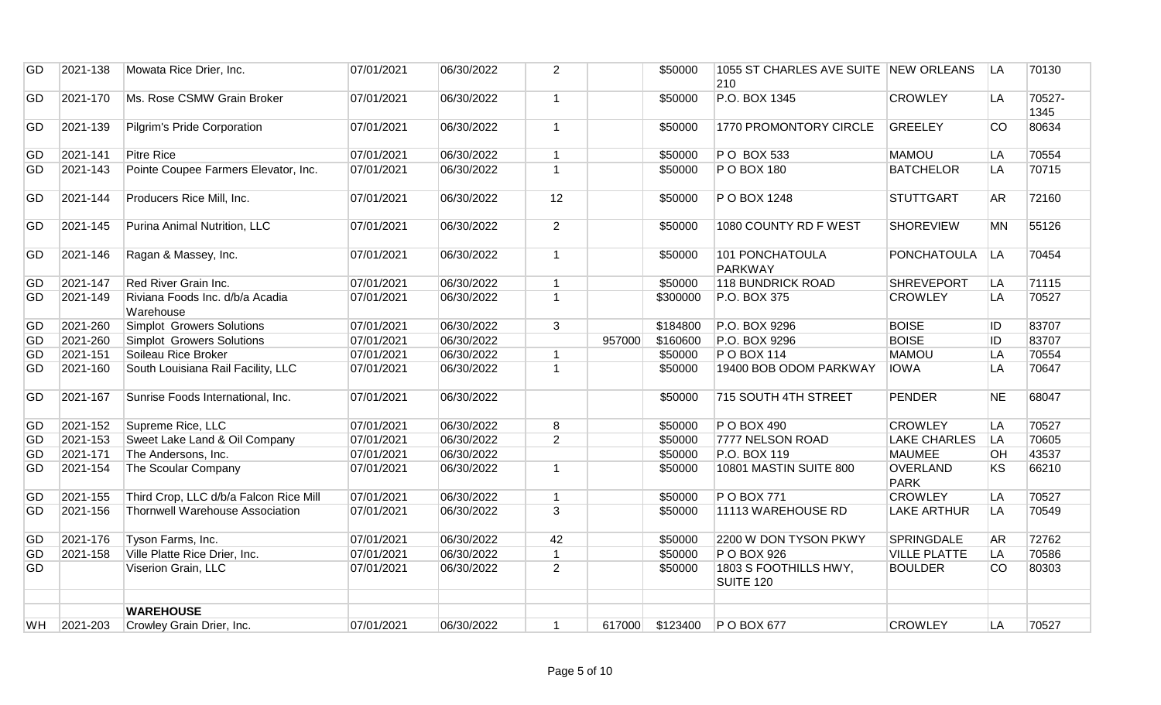| GD        | 2021-138 | Mowata Rice Drier, Inc.                      | 07/01/2021 | 06/30/2022 | $\overline{2}$ |        | \$50000  | 1055 ST CHARLES AVE SUITE NEW ORLEANS<br>210 |                                | LA        | 70130          |
|-----------|----------|----------------------------------------------|------------|------------|----------------|--------|----------|----------------------------------------------|--------------------------------|-----------|----------------|
| GD        | 2021-170 | Ms. Rose CSMW Grain Broker                   | 07/01/2021 | 06/30/2022 | $\mathbf{1}$   |        | \$50000  | P.O. BOX 1345                                | <b>CROWLEY</b>                 | LA        | 70527-<br>1345 |
| GD        | 2021-139 | Pilgrim's Pride Corporation                  | 07/01/2021 | 06/30/2022 | $\mathbf{1}$   |        | \$50000  | 1770 PROMONTORY CIRCLE                       | <b>GREELEY</b>                 | CO        | 80634          |
| GD        | 2021-141 | <b>Pitre Rice</b>                            | 07/01/2021 | 06/30/2022 | $\mathbf{1}$   |        | \$50000  | P O BOX 533                                  | <b>MAMOU</b>                   | LA        | 70554          |
| <b>GD</b> | 2021-143 | Pointe Coupee Farmers Elevator, Inc.         | 07/01/2021 | 06/30/2022 | $\overline{1}$ |        | \$50000  | P O BOX 180                                  | <b>BATCHELOR</b>               | LA        | 70715          |
| GD        | 2021-144 | Producers Rice Mill, Inc.                    | 07/01/2021 | 06/30/2022 | 12             |        | \$50000  | P O BOX 1248                                 | <b>STUTTGART</b>               | AR        | 72160          |
| GD        | 2021-145 | Purina Animal Nutrition, LLC                 | 07/01/2021 | 06/30/2022 | $\overline{2}$ |        | \$50000  | 1080 COUNTY RD F WEST                        | <b>SHOREVIEW</b>               | <b>MN</b> | 55126          |
| GD        | 2021-146 | Ragan & Massey, Inc.                         | 07/01/2021 | 06/30/2022 | $\mathbf{1}$   |        | \$50000  | <b>101 PONCHATOULA</b><br><b>PARKWAY</b>     | PONCHATOULA                    | LA        | 70454          |
| GD        | 2021-147 | Red River Grain Inc.                         | 07/01/2021 | 06/30/2022 | $\mathbf{1}$   |        | \$50000  | 118 BUNDRICK ROAD                            | <b>SHREVEPORT</b>              | LA        | 71115          |
| GD        | 2021-149 | Riviana Foods Inc. d/b/a Acadia<br>Warehouse | 07/01/2021 | 06/30/2022 | $\mathbf{1}$   |        | \$300000 | P.O. BOX 375                                 | <b>CROWLEY</b>                 | LA        | 70527          |
| GD        | 2021-260 | <b>Simplot Growers Solutions</b>             | 07/01/2021 | 06/30/2022 | 3              |        | \$184800 | P.O. BOX 9296                                | <b>BOISE</b>                   | ID.       | 83707          |
| GD        | 2021-260 | Simplot Growers Solutions                    | 07/01/2021 | 06/30/2022 |                | 957000 | \$160600 | P.O. BOX 9296                                | <b>BOISE</b>                   | <b>ID</b> | 83707          |
| GD        | 2021-151 | Soileau Rice Broker                          | 07/01/2021 | 06/30/2022 | $\mathbf{1}$   |        | \$50000  | <b>PO BOX 114</b>                            | <b>MAMOU</b>                   | LA        | 70554          |
| GD        | 2021-160 | South Louisiana Rail Facility, LLC           | 07/01/2021 | 06/30/2022 | $\mathbf{1}$   |        | \$50000  | 19400 BOB ODOM PARKWAY                       | <b>IOWA</b>                    | LA        | 70647          |
| GD        | 2021-167 | Sunrise Foods International, Inc.            | 07/01/2021 | 06/30/2022 |                |        | \$50000  | 715 SOUTH 4TH STREET                         | PENDER                         | <b>NE</b> | 68047          |
| GD        | 2021-152 | Supreme Rice, LLC                            | 07/01/2021 | 06/30/2022 | 8              |        | \$50000  | P O BOX 490                                  | <b>CROWLEY</b>                 | LA        | 70527          |
| GD        | 2021-153 | Sweet Lake Land & Oil Company                | 07/01/2021 | 06/30/2022 | $\overline{2}$ |        | \$50000  | 7777 NELSON ROAD                             | <b>LAKE CHARLES</b>            | LA        | 70605          |
| GD        | 2021-171 | The Andersons, Inc.                          | 07/01/2021 | 06/30/2022 |                |        | \$50000  | P.O. BOX 119                                 | <b>MAUMEE</b>                  | <b>OH</b> | 43537          |
| <b>GD</b> | 2021-154 | The Scoular Company                          | 07/01/2021 | 06/30/2022 | $\mathbf{1}$   |        | \$50000  | 10801 MASTIN SUITE 800                       | <b>OVERLAND</b><br><b>PARK</b> | KS        | 66210          |
| GD        | 2021-155 | Third Crop, LLC d/b/a Falcon Rice Mill       | 07/01/2021 | 06/30/2022 | $\mathbf{1}$   |        | \$50000  | <b>PO BOX 771</b>                            | <b>CROWLEY</b>                 | LA        | 70527          |
| GD        | 2021-156 | Thornwell Warehouse Association              | 07/01/2021 | 06/30/2022 | $\overline{3}$ |        | \$50000  | 11113 WAREHOUSE RD                           | <b>LAKE ARTHUR</b>             | <b>LA</b> | 70549          |
| GD        | 2021-176 | Tyson Farms, Inc.                            | 07/01/2021 | 06/30/2022 | 42             |        | \$50000  | 2200 W DON TYSON PKWY                        | <b>SPRINGDALE</b>              | <b>AR</b> | 72762          |
| GD        | 2021-158 | Ville Platte Rice Drier, Inc.                | 07/01/2021 | 06/30/2022 | $\mathbf{1}$   |        | \$50000  | P O BOX 926                                  | <b>VILLE PLATTE</b>            | LA        | 70586          |
| GD        |          | Viserion Grain, LLC                          | 07/01/2021 | 06/30/2022 | $\overline{2}$ |        | \$50000  | 1803 S FOOTHILLS HWY,<br>SUITE 120           | <b>BOULDER</b>                 | CO        | 80303          |
|           |          | <b>WAREHOUSE</b>                             |            |            |                |        |          |                                              |                                |           |                |
| <b>WH</b> | 2021-203 | Crowley Grain Drier, Inc.                    | 07/01/2021 | 06/30/2022 | $\mathbf{1}$   | 617000 | \$123400 | P O BOX 677                                  | <b>CROWLEY</b>                 | LA        | 70527          |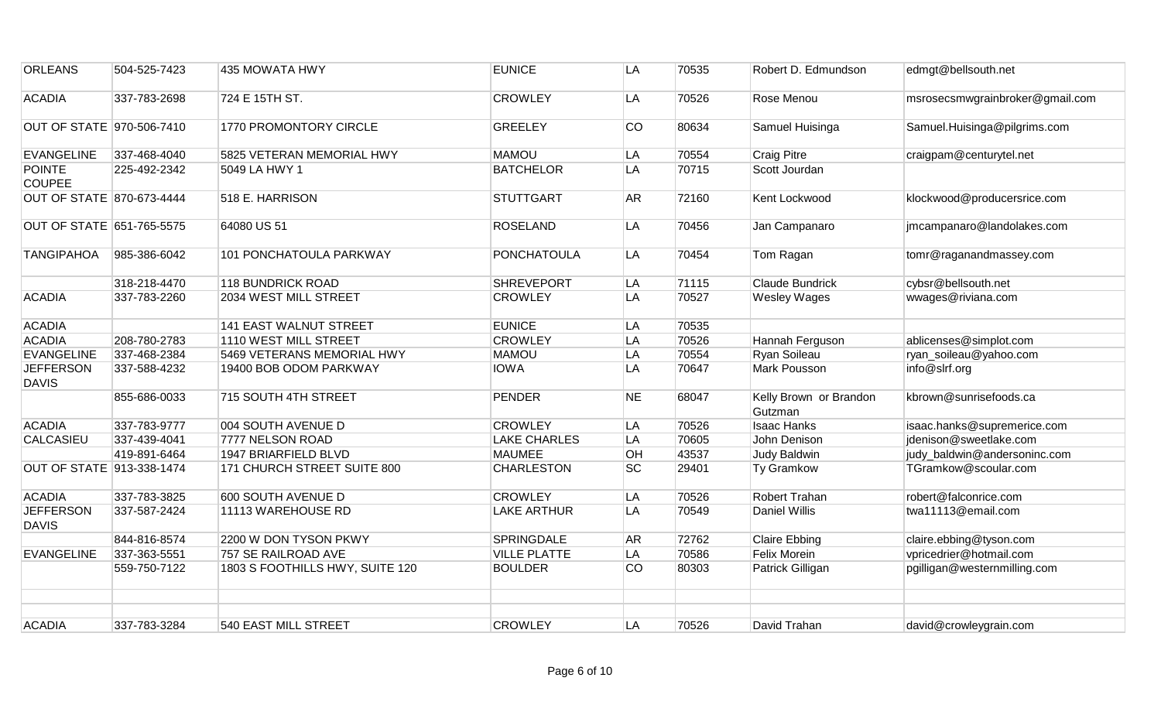| <b>ORLEANS</b>                   | 504-525-7423 | 435 MOWATA HWY                  | <b>EUNICE</b>       | LA        | 70535 | Robert D. Edmundson               | edmgt@bellsouth.net             |
|----------------------------------|--------------|---------------------------------|---------------------|-----------|-------|-----------------------------------|---------------------------------|
| <b>ACADIA</b>                    | 337-783-2698 | 724 E 15TH ST.                  | <b>CROWLEY</b>      | LA        | 70526 | Rose Menou                        | msrosecsmwgrainbroker@gmail.com |
| OUT OF STATE 970-506-7410        |              | 1770 PROMONTORY CIRCLE          | <b>GREELEY</b>      | CO        | 80634 | Samuel Huisinga                   | Samuel.Huisinga@pilgrims.com    |
| <b>EVANGELINE</b>                | 337-468-4040 | 5825 VETERAN MEMORIAL HWY       | <b>MAMOU</b>        | LA        | 70554 | <b>Craig Pitre</b>                | craigpam@centurytel.net         |
| <b>POINTE</b><br><b>COUPEE</b>   | 225-492-2342 | 5049 LA HWY 1                   | <b>BATCHELOR</b>    | LA        | 70715 | Scott Jourdan                     |                                 |
| <b>OUT OF STATE 870-673-4444</b> |              | 518 E. HARRISON                 | <b>STUTTGART</b>    | <b>AR</b> | 72160 | Kent Lockwood                     | klockwood@producersrice.com     |
| OUT OF STATE 651-765-5575        |              | 64080 US 51                     | <b>ROSELAND</b>     | LA        | 70456 | Jan Campanaro                     | jmcampanaro@landolakes.com      |
| <b>TANGIPAHOA</b>                | 985-386-6042 | 101 PONCHATOULA PARKWAY         | <b>PONCHATOULA</b>  | LA        | 70454 | Tom Ragan                         | tomr@raganandmassey.com         |
|                                  | 318-218-4470 | 118 BUNDRICK ROAD               | <b>SHREVEPORT</b>   | LA        | 71115 | <b>Claude Bundrick</b>            | cybsr@bellsouth.net             |
| <b>ACADIA</b>                    | 337-783-2260 | 2034 WEST MILL STREET           | <b>CROWLEY</b>      | LA        | 70527 | <b>Wesley Wages</b>               | wwages@riviana.com              |
| <b>ACADIA</b>                    |              | 141 EAST WALNUT STREET          | <b>EUNICE</b>       | LA        | 70535 |                                   |                                 |
| <b>ACADIA</b>                    | 208-780-2783 | 1110 WEST MILL STREET           | <b>CROWLEY</b>      | LA        | 70526 | Hannah Ferguson                   | ablicenses@simplot.com          |
| <b>EVANGELINE</b>                | 337-468-2384 | 5469 VETERANS MEMORIAL HWY      | <b>MAMOU</b>        | LA        | 70554 | Ryan Soileau                      | ryan_soileau@yahoo.com          |
| <b>JEFFERSON</b><br><b>DAVIS</b> | 337-588-4232 | 19400 BOB ODOM PARKWAY          | <b>IOWA</b>         | LA        | 70647 | Mark Pousson                      | info@slrf.org                   |
|                                  | 855-686-0033 | 715 SOUTH 4TH STREET            | <b>PENDER</b>       | <b>NE</b> | 68047 | Kelly Brown or Brandon<br>Gutzman | kbrown@sunrisefoods.ca          |
| <b>ACADIA</b>                    | 337-783-9777 | 004 SOUTH AVENUE D              | <b>CROWLEY</b>      | LA        | 70526 | <b>Isaac Hanks</b>                | isaac.hanks@supremerice.com     |
| <b>CALCASIEU</b>                 | 337-439-4041 | 7777 NELSON ROAD                | <b>LAKE CHARLES</b> | LA        | 70605 | John Denison                      | jdenison@sweetlake.com          |
|                                  | 419-891-6464 | 1947 BRIARFIELD BLVD            | <b>MAUMEE</b>       | OH        | 43537 | Judy Baldwin                      | judy_baldwin@andersoninc.com    |
| <b>OUT OF STATE 913-338-1474</b> |              | 171 CHURCH STREET SUITE 800     | <b>CHARLESTON</b>   | <b>SC</b> | 29401 | <b>Ty Gramkow</b>                 | TGramkow@scoular.com            |
| <b>ACADIA</b>                    | 337-783-3825 | 600 SOUTH AVENUE D              | <b>CROWLEY</b>      | LA        | 70526 | Robert Trahan                     | robert@falconrice.com           |
| <b>JEFFERSON</b><br><b>DAVIS</b> | 337-587-2424 | 11113 WAREHOUSE RD              | <b>LAKE ARTHUR</b>  | LA        | 70549 | <b>Daniel Willis</b>              | twa11113@email.com              |
|                                  | 844-816-8574 | 2200 W DON TYSON PKWY           | <b>SPRINGDALE</b>   | <b>AR</b> | 72762 | <b>Claire Ebbing</b>              | claire.ebbing@tyson.com         |
| <b>EVANGELINE</b>                | 337-363-5551 | 757 SE RAILROAD AVE             | <b>VILLE PLATTE</b> | LA        | 70586 | Felix Morein                      | vpricedrier@hotmail.com         |
|                                  | 559-750-7122 | 1803 S FOOTHILLS HWY, SUITE 120 | <b>BOULDER</b>      | CO        | 80303 | Patrick Gilligan                  | pgilligan@westernmilling.com    |
|                                  |              |                                 |                     |           |       |                                   |                                 |
| <b>ACADIA</b>                    | 337-783-3284 | 540 EAST MILL STREET            | <b>CROWLEY</b>      | LA        | 70526 | David Trahan                      | david@crowleygrain.com          |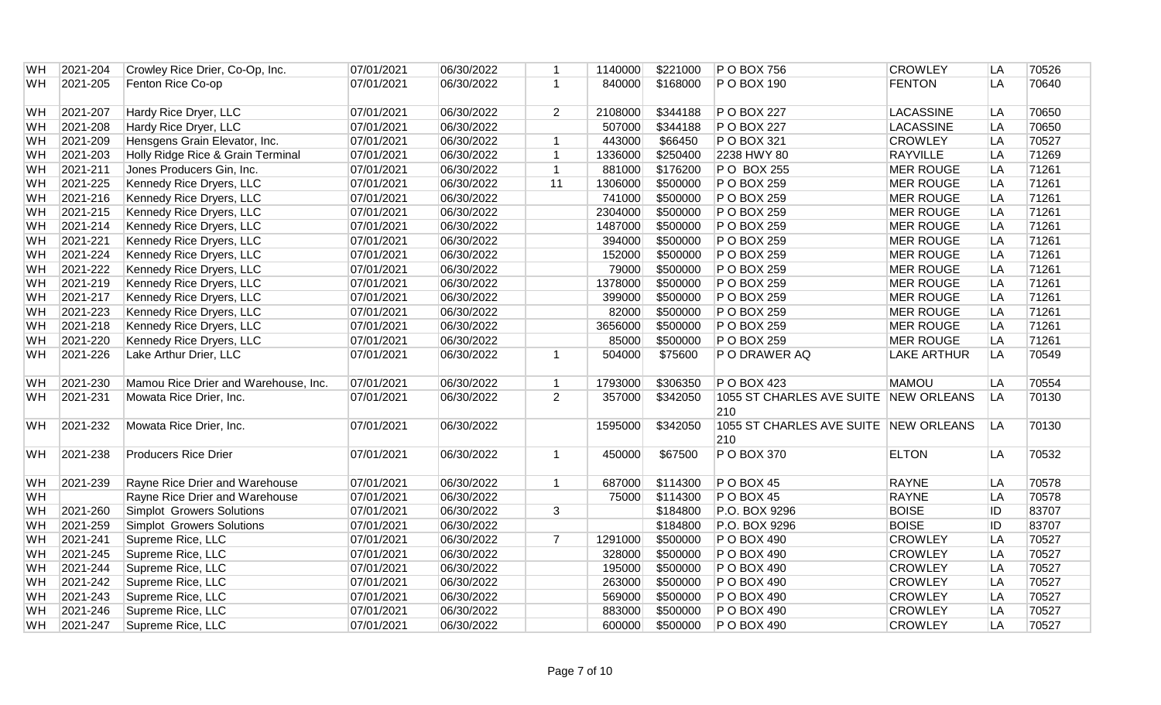| <b>WH</b> | 2021-204 | Crowley Rice Drier, Co-Op, Inc.      | 07/01/2021 | 06/30/2022 | 1              | 1140000 | \$221000 | $P$ O BOX 756                                | <b>CROWLEY</b>     | LA | 70526 |
|-----------|----------|--------------------------------------|------------|------------|----------------|---------|----------|----------------------------------------------|--------------------|----|-------|
| <b>WH</b> | 2021-205 | Fenton Rice Co-op                    | 07/01/2021 | 06/30/2022 | $\mathbf{1}$   | 840000  | \$168000 | P O BOX 190                                  | <b>FENTON</b>      | LA | 70640 |
| WH        | 2021-207 | Hardy Rice Dryer, LLC                | 07/01/2021 | 06/30/2022 | $\overline{2}$ | 2108000 | \$344188 | P O BOX 227                                  | <b>LACASSINE</b>   | LA | 70650 |
| <b>WH</b> | 2021-208 | Hardy Rice Dryer, LLC                | 07/01/2021 | 06/30/2022 |                | 507000  | \$344188 | P O BOX 227                                  | <b>LACASSINE</b>   | LA | 70650 |
| WH        | 2021-209 | Hensgens Grain Elevator, Inc.        | 07/01/2021 | 06/30/2022 | $\overline{1}$ | 443000  | \$66450  | $P$ O BOX 321                                | <b>CROWLEY</b>     | LA | 70527 |
| <b>WH</b> | 2021-203 | Holly Ridge Rice & Grain Terminal    | 07/01/2021 | 06/30/2022 | $\mathbf{1}$   | 1336000 | \$250400 | 2238 HWY 80                                  | <b>RAYVILLE</b>    | LA | 71269 |
| WH        | 2021-211 | Jones Producers Gin, Inc.            | 07/01/2021 | 06/30/2022 | $\mathbf{1}$   | 881000  | \$176200 | P O BOX 255                                  | <b>MER ROUGE</b>   | LA | 71261 |
| <b>WH</b> | 2021-225 | Kennedy Rice Dryers, LLC             | 07/01/2021 | 06/30/2022 | 11             | 1306000 | \$500000 | P O BOX 259                                  | <b>MER ROUGE</b>   | LA | 71261 |
| <b>WH</b> | 2021-216 | Kennedy Rice Dryers, LLC             | 07/01/2021 | 06/30/2022 |                | 741000  | \$500000 | P O BOX 259                                  | <b>MER ROUGE</b>   | LA | 71261 |
| <b>WH</b> | 2021-215 | Kennedy Rice Dryers, LLC             | 07/01/2021 | 06/30/2022 |                | 2304000 | \$500000 | P O BOX 259                                  | <b>MER ROUGE</b>   | LA | 71261 |
| <b>WH</b> | 2021-214 | Kennedy Rice Dryers, LLC             | 07/01/2021 | 06/30/2022 |                | 1487000 | \$500000 | P O BOX 259                                  | <b>MER ROUGE</b>   | LA | 71261 |
| <b>WH</b> | 2021-221 | Kennedy Rice Dryers, LLC             | 07/01/2021 | 06/30/2022 |                | 394000  | \$500000 | P O BOX 259                                  | <b>MER ROUGE</b>   | LA | 71261 |
| <b>WH</b> | 2021-224 | Kennedy Rice Dryers, LLC             | 07/01/2021 | 06/30/2022 |                | 152000  | \$500000 | P O BOX 259                                  | <b>MER ROUGE</b>   | LA | 71261 |
| WH        | 2021-222 | Kennedy Rice Dryers, LLC             | 07/01/2021 | 06/30/2022 |                | 79000   | \$500000 | P O BOX 259                                  | <b>MER ROUGE</b>   | LA | 71261 |
| <b>WH</b> | 2021-219 | Kennedy Rice Dryers, LLC             | 07/01/2021 | 06/30/2022 |                | 1378000 | \$500000 | P O BOX 259                                  | <b>MER ROUGE</b>   | LA | 71261 |
| <b>WH</b> | 2021-217 | Kennedy Rice Dryers, LLC             | 07/01/2021 | 06/30/2022 |                | 399000  | \$500000 | P O BOX 259                                  | <b>MER ROUGE</b>   | LA | 71261 |
| <b>WH</b> | 2021-223 | Kennedy Rice Dryers, LLC             | 07/01/2021 | 06/30/2022 |                | 82000   | \$500000 | P O BOX 259                                  | <b>MER ROUGE</b>   | LA | 71261 |
| <b>WH</b> | 2021-218 | Kennedy Rice Dryers, LLC             | 07/01/2021 | 06/30/2022 |                | 3656000 | \$500000 | P O BOX 259                                  | <b>MER ROUGE</b>   | LA | 71261 |
| WH        | 2021-220 | Kennedy Rice Dryers, LLC             | 07/01/2021 | 06/30/2022 |                | 85000   | \$500000 | P O BOX 259                                  | <b>MER ROUGE</b>   | LA | 71261 |
| <b>WH</b> | 2021-226 | Lake Arthur Drier, LLC               | 07/01/2021 | 06/30/2022 | $\mathbf{1}$   | 504000  | \$75600  | P O DRAWER AQ                                | <b>LAKE ARTHUR</b> | LA | 70549 |
| <b>WH</b> | 2021-230 | Mamou Rice Drier and Warehouse, Inc. | 07/01/2021 | 06/30/2022 | $\mathbf{1}$   | 1793000 | \$306350 | $P$ O BOX 423                                | <b>MAMOU</b>       | LA | 70554 |
| <b>WH</b> | 2021-231 | Mowata Rice Drier, Inc.              | 07/01/2021 | 06/30/2022 | 2              | 357000  | \$342050 | 1055 ST CHARLES AVE SUITE                    | <b>NEW ORLEANS</b> | LA | 70130 |
|           |          |                                      |            |            |                |         |          | 210                                          |                    |    |       |
| <b>WH</b> | 2021-232 | Mowata Rice Drier, Inc.              | 07/01/2021 | 06/30/2022 |                | 1595000 | \$342050 | 1055 ST CHARLES AVE SUITE NEW ORLEANS<br>210 |                    | LA | 70130 |
| <b>WH</b> | 2021-238 | <b>Producers Rice Drier</b>          | 07/01/2021 | 06/30/2022 | $\mathbf{1}$   | 450000  | \$67500  | P O BOX 370                                  | <b>ELTON</b>       | LA | 70532 |
| <b>WH</b> | 2021-239 | Rayne Rice Drier and Warehouse       | 07/01/2021 | 06/30/2022 | $\mathbf{1}$   | 687000  | \$114300 | POBOX 45                                     | <b>RAYNE</b>       | LA | 70578 |
| <b>WH</b> |          | Rayne Rice Drier and Warehouse       | 07/01/2021 | 06/30/2022 |                | 75000   | \$114300 | $P$ O BOX 45                                 | <b>RAYNE</b>       | LA | 70578 |
| <b>WH</b> | 2021-260 | Simplot Growers Solutions            | 07/01/2021 | 06/30/2022 | 3              |         | \$184800 | P.O. BOX 9296                                | <b>BOISE</b>       | ID | 83707 |
| <b>WH</b> | 2021-259 | Simplot Growers Solutions            | 07/01/2021 | 06/30/2022 |                |         | \$184800 | P.O. BOX 9296                                | <b>BOISE</b>       | ID | 83707 |
| <b>WH</b> | 2021-241 | Supreme Rice, LLC                    | 07/01/2021 | 06/30/2022 | $\overline{7}$ | 1291000 | \$500000 | P O BOX 490                                  | <b>CROWLEY</b>     | LA | 70527 |
| WH        | 2021-245 | Supreme Rice, LLC                    | 07/01/2021 | 06/30/2022 |                | 328000  | \$500000 | P O BOX 490                                  | <b>CROWLEY</b>     | LA | 70527 |
| <b>WH</b> | 2021-244 | Supreme Rice, LLC                    | 07/01/2021 | 06/30/2022 |                | 195000  | \$500000 | P O BOX 490                                  | <b>CROWLEY</b>     | LA | 70527 |
| WH        | 2021-242 | Supreme Rice, LLC                    | 07/01/2021 | 06/30/2022 |                | 263000  | \$500000 | P O BOX 490                                  | <b>CROWLEY</b>     | LA | 70527 |
| <b>WH</b> | 2021-243 | Supreme Rice, LLC                    | 07/01/2021 | 06/30/2022 |                | 569000  | \$500000 | P O BOX 490                                  | <b>CROWLEY</b>     | LA | 70527 |
| <b>WH</b> | 2021-246 | Supreme Rice, LLC                    | 07/01/2021 | 06/30/2022 |                | 883000  | \$500000 | P O BOX 490                                  | <b>CROWLEY</b>     | LA | 70527 |
| <b>WH</b> | 2021-247 | Supreme Rice, LLC                    | 07/01/2021 | 06/30/2022 |                | 600000  | \$500000 | P O BOX 490                                  | <b>CROWLEY</b>     | LA | 70527 |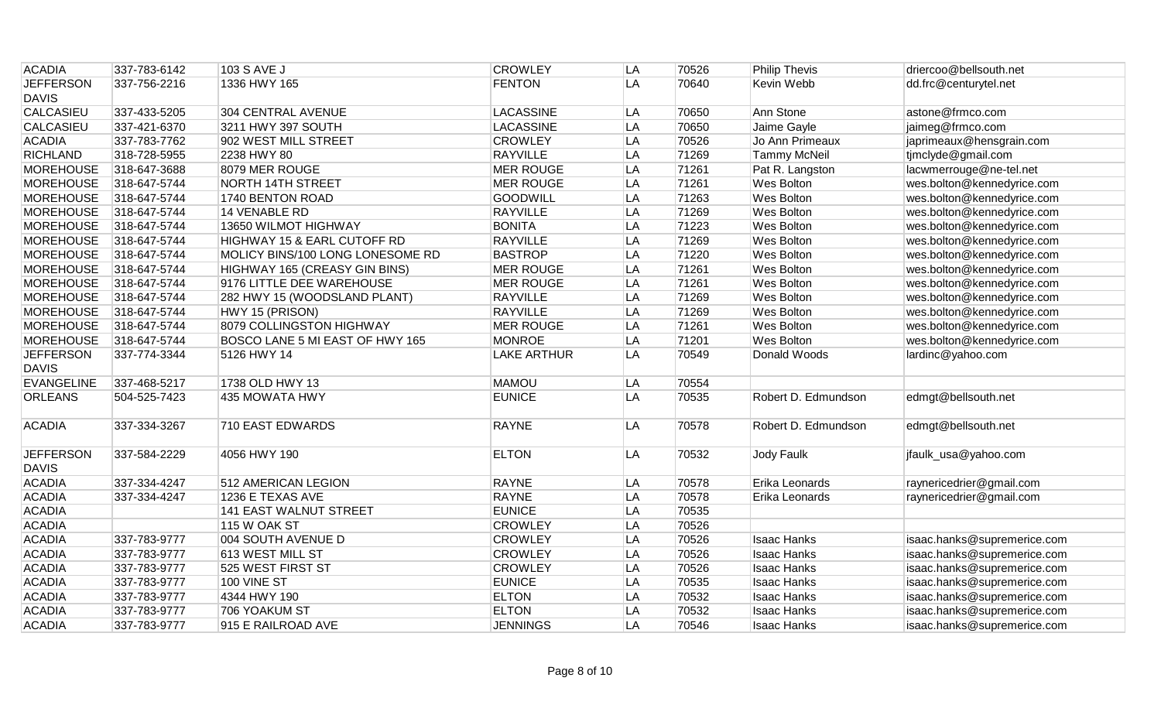| <b>ACADIA</b>                    | 337-783-6142 | 103 S AVE J                      | <b>CROWLEY</b>     | LA | 70526 | <b>Philip Thevis</b> | driercoo@bellsouth.net      |
|----------------------------------|--------------|----------------------------------|--------------------|----|-------|----------------------|-----------------------------|
| <b>JEFFERSON</b>                 | 337-756-2216 | 1336 HWY 165                     | <b>FENTON</b>      | LA | 70640 | Kevin Webb           | dd.frc@centurytel.net       |
| <b>DAVIS</b>                     |              |                                  |                    |    |       |                      |                             |
| <b>CALCASIEU</b>                 | 337-433-5205 | 304 CENTRAL AVENUE               | <b>LACASSINE</b>   | LA | 70650 | Ann Stone            | astone@frmco.com            |
| <b>CALCASIEU</b>                 | 337-421-6370 | 3211 HWY 397 SOUTH               | <b>LACASSINE</b>   | LA | 70650 | Jaime Gayle          | jaimeg@frmco.com            |
| <b>ACADIA</b>                    | 337-783-7762 | 902 WEST MILL STREET             | <b>CROWLEY</b>     | LA | 70526 | Jo Ann Primeaux      | japrimeaux@hensgrain.com    |
| <b>RICHLAND</b>                  | 318-728-5955 | 2238 HWY 80                      | <b>RAYVILLE</b>    | LA | 71269 | <b>Tammy McNeil</b>  | tjmclyde@gmail.com          |
| <b>MOREHOUSE</b>                 | 318-647-3688 | 8079 MER ROUGE                   | <b>MER ROUGE</b>   | LA | 71261 | Pat R. Langston      | lacwmerrouge@ne-tel.net     |
| <b>MOREHOUSE</b>                 | 318-647-5744 | <b>NORTH 14TH STREET</b>         | <b>MER ROUGE</b>   | LA | 71261 | Wes Bolton           | wes.bolton@kennedyrice.com  |
| <b>MOREHOUSE</b>                 | 318-647-5744 | 1740 BENTON ROAD                 | <b>GOODWILL</b>    | LA | 71263 | Wes Bolton           | wes.bolton@kennedyrice.com  |
| <b>MOREHOUSE</b>                 | 318-647-5744 | 14 VENABLE RD                    | <b>RAYVILLE</b>    | LA | 71269 | Wes Bolton           | wes.bolton@kennedyrice.com  |
| <b>MOREHOUSE</b>                 | 318-647-5744 | 13650 WILMOT HIGHWAY             | <b>BONITA</b>      | LA | 71223 | Wes Bolton           | wes.bolton@kennedyrice.com  |
| <b>MOREHOUSE</b>                 | 318-647-5744 | HIGHWAY 15 & EARL CUTOFF RD      | <b>RAYVILLE</b>    | LA | 71269 | Wes Bolton           | wes.bolton@kennedyrice.com  |
| <b>MOREHOUSE</b>                 | 318-647-5744 | MOLICY BINS/100 LONG LONESOME RD | <b>BASTROP</b>     | LA | 71220 | <b>Wes Bolton</b>    | wes.bolton@kennedyrice.com  |
| <b>MOREHOUSE</b>                 | 318-647-5744 | HIGHWAY 165 (CREASY GIN BINS)    | <b>MER ROUGE</b>   | LA | 71261 | Wes Bolton           | wes.bolton@kennedyrice.com  |
| <b>MOREHOUSE</b>                 | 318-647-5744 | 9176 LITTLE DEE WAREHOUSE        | <b>MER ROUGE</b>   | LA | 71261 | Wes Bolton           | wes.bolton@kennedyrice.com  |
| <b>MOREHOUSE</b>                 | 318-647-5744 | 282 HWY 15 (WOODSLAND PLANT)     | <b>RAYVILLE</b>    | LA | 71269 | Wes Bolton           | wes.bolton@kennedyrice.com  |
| <b>MOREHOUSE</b>                 | 318-647-5744 | HWY 15 (PRISON)                  | <b>RAYVILLE</b>    | LA | 71269 | Wes Bolton           | wes.bolton@kennedyrice.com  |
| <b>MOREHOUSE</b>                 | 318-647-5744 | 8079 COLLINGSTON HIGHWAY         | <b>MER ROUGE</b>   | LA | 71261 | Wes Bolton           | wes.bolton@kennedyrice.com  |
| <b>MOREHOUSE</b>                 | 318-647-5744 | BOSCO LANE 5 MI EAST OF HWY 165  | <b>MONROE</b>      | LA | 71201 | <b>Wes Bolton</b>    | wes.bolton@kennedyrice.com  |
| <b>JEFFERSON</b><br><b>DAVIS</b> | 337-774-3344 | 5126 HWY 14                      | <b>LAKE ARTHUR</b> | LA | 70549 | Donald Woods         | lardinc@yahoo.com           |
| <b>EVANGELINE</b>                | 337-468-5217 | 1738 OLD HWY 13                  | <b>MAMOU</b>       | LA | 70554 |                      |                             |
| <b>ORLEANS</b>                   | 504-525-7423 | 435 MOWATA HWY                   | <b>EUNICE</b>      | LA | 70535 | Robert D. Edmundson  | edmgt@bellsouth.net         |
| <b>ACADIA</b>                    | 337-334-3267 | <b>710 EAST EDWARDS</b>          | <b>RAYNE</b>       | LA | 70578 | Robert D. Edmundson  | edmgt@bellsouth.net         |
| <b>JEFFERSON</b><br><b>DAVIS</b> | 337-584-2229 | 4056 HWY 190                     | <b>ELTON</b>       | LA | 70532 | Jody Faulk           | jfaulk_usa@yahoo.com        |
| <b>ACADIA</b>                    | 337-334-4247 | 512 AMERICAN LEGION              | <b>RAYNE</b>       | LA | 70578 | Erika Leonards       | raynericedrier@gmail.com    |
| <b>ACADIA</b>                    | 337-334-4247 | 1236 E TEXAS AVE                 | <b>RAYNE</b>       | LA | 70578 | Erika Leonards       | raynericedrier@gmail.com    |
| <b>ACADIA</b>                    |              | 141 EAST WALNUT STREET           | <b>EUNICE</b>      | LA | 70535 |                      |                             |
| <b>ACADIA</b>                    |              | 115 W OAK ST                     | <b>CROWLEY</b>     | LA | 70526 |                      |                             |
| <b>ACADIA</b>                    | 337-783-9777 | 004 SOUTH AVENUE D               | <b>CROWLEY</b>     | LA | 70526 | <b>Isaac Hanks</b>   | isaac.hanks@supremerice.com |
| <b>ACADIA</b>                    | 337-783-9777 | 613 WEST MILL ST                 | <b>CROWLEY</b>     | LA | 70526 | <b>Isaac Hanks</b>   | isaac.hanks@supremerice.com |
| <b>ACADIA</b>                    | 337-783-9777 | 525 WEST FIRST ST                | <b>CROWLEY</b>     | LA | 70526 | <b>Isaac Hanks</b>   | isaac.hanks@supremerice.com |
| <b>ACADIA</b>                    | 337-783-9777 | 100 VINE ST                      | <b>EUNICE</b>      | LA | 70535 | <b>Isaac Hanks</b>   | isaac.hanks@supremerice.com |
| <b>ACADIA</b>                    | 337-783-9777 | 4344 HWY 190                     | <b>ELTON</b>       | LA | 70532 | <b>Isaac Hanks</b>   | isaac.hanks@supremerice.com |
| <b>ACADIA</b>                    | 337-783-9777 | 706 YOAKUM ST                    | <b>ELTON</b>       | LA | 70532 | <b>Isaac Hanks</b>   | isaac.hanks@supremerice.com |
| <b>ACADIA</b>                    | 337-783-9777 | 915 E RAILROAD AVE               | <b>JENNINGS</b>    | LA | 70546 | <b>Isaac Hanks</b>   | isaac.hanks@supremerice.com |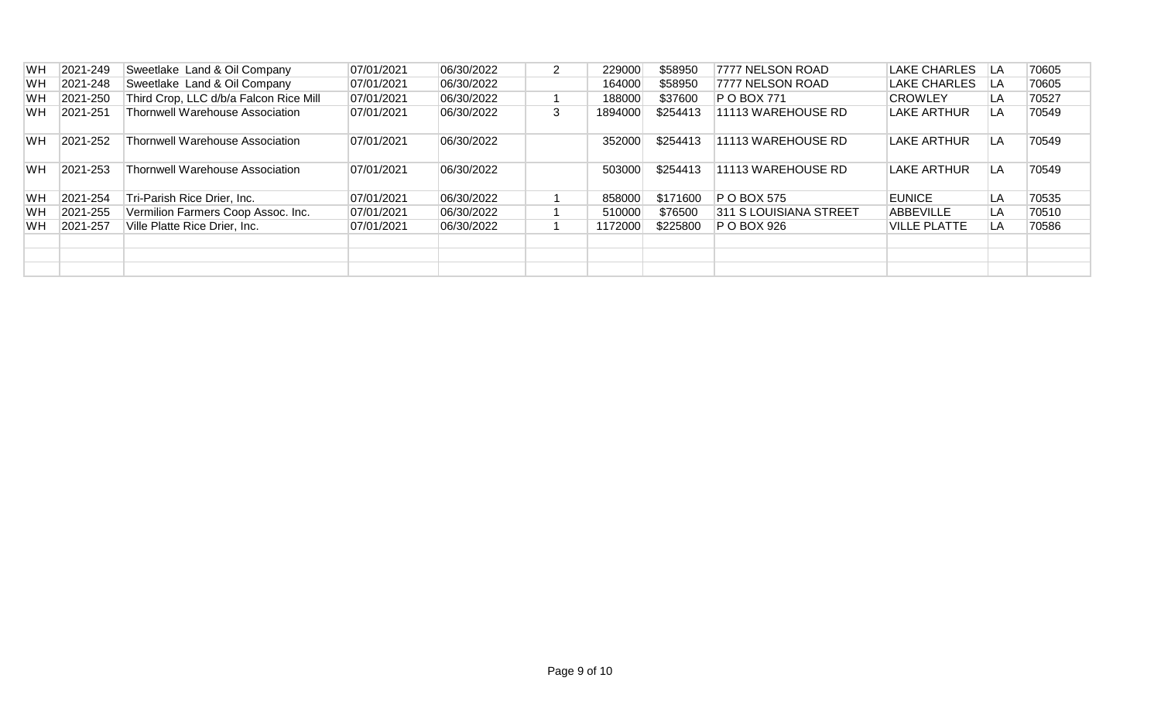| <b>WH</b> | 2021-249 | Sweetlake Land & Oil Company           | 07/01/2021 | 06/30/2022 | $\overline{2}$ | 229000  | \$58950  | 7777 NELSON ROAD       | <b>LAKE CHARLES</b> | LA | 70605 |
|-----------|----------|----------------------------------------|------------|------------|----------------|---------|----------|------------------------|---------------------|----|-------|
| <b>WH</b> | 2021-248 | Sweetlake Land & Oil Company           | 07/01/2021 | 06/30/2022 |                | 164000  | \$58950  | 7777 NELSON ROAD       | LAKE CHARLES        | LA | 70605 |
| <b>WH</b> | 2021-250 | Third Crop, LLC d/b/a Falcon Rice Mill | 07/01/2021 | 06/30/2022 |                | 188000  | \$37600  | P O BOX 771            | <b>CROWLEY</b>      | LA | 70527 |
| WH        | 2021-251 | Thornwell Warehouse Association        | 07/01/2021 | 06/30/2022 | 3              | 1894000 | \$254413 | 11113 WAREHOUSE RD     | LAKE ARTHUR         | LA | 70549 |
| <b>WH</b> | 2021-252 | <b>Thornwell Warehouse Association</b> | 07/01/2021 | 06/30/2022 |                | 352000  | \$254413 | 11113 WAREHOUSE RD     | LAKE ARTHUR         | LA | 70549 |
| <b>WH</b> | 2021-253 | <b>Thornwell Warehouse Association</b> | 07/01/2021 | 06/30/2022 |                | 503000  | \$254413 | 11113 WAREHOUSE RD     | <b>LAKE ARTHUR</b>  | LA | 70549 |
| <b>WH</b> | 2021-254 | Tri-Parish Rice Drier, Inc.            | 07/01/2021 | 06/30/2022 |                | 858000  | \$171600 | <b>P O BOX 575</b>     | <b>EUNICE</b>       | LA | 70535 |
| WH        | 2021-255 | Vermilion Farmers Coop Assoc. Inc.     | 07/01/2021 | 06/30/2022 |                | 510000  | \$76500  | 311 S LOUISIANA STREET | <b>ABBEVILLE</b>    | LA | 70510 |
| WН        | 2021-257 | Ville Platte Rice Drier, Inc.          | 07/01/2021 | 06/30/2022 |                | 1172000 | \$225800 | P O BOX 926            | VILLE PLATTE        | LA | 70586 |
|           |          |                                        |            |            |                |         |          |                        |                     |    |       |
|           |          |                                        |            |            |                |         |          |                        |                     |    |       |
|           |          |                                        |            |            |                |         |          |                        |                     |    |       |